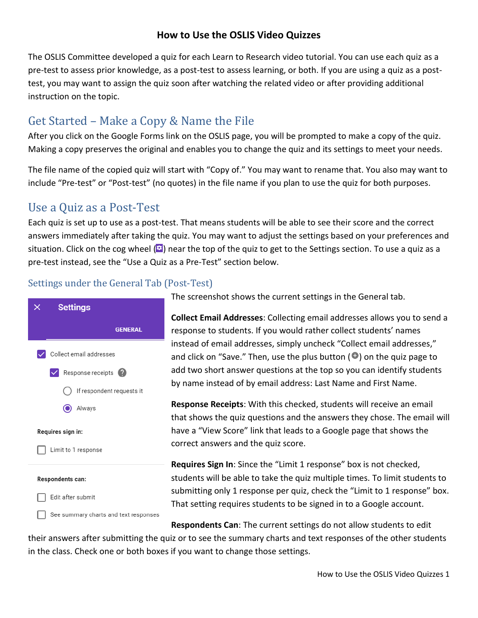## **How to Use the OSLIS Video Quizzes**

The OSLIS Committee developed a quiz for each Learn to Research video tutorial. You can use each quiz as a pre-test to assess prior knowledge, as a post-test to assess learning, or both. If you are using a quiz as a posttest, you may want to assign the quiz soon after watching the related video or after providing additional instruction on the topic.

# Get Started – Make a Copy & Name the File

After you click on the Google Forms link on the OSLIS page, you will be prompted to make a copy of the quiz. Making a copy preserves the original and enables you to change the quiz and its settings to meet your needs.

The file name of the copied quiz will start with "Copy of." You may want to rename that. You also may want to include "Pre-test" or "Post-test" (no quotes) in the file name if you plan to use the quiz for both purposes.

## Use a Quiz as a Post-Test

Each quiz is set up to use as a post-test. That means students will be able to see their score and the correct answers immediately after taking the quiz. You may want to adjust the settings based on your preferences and situation. Click on the cog wheel  $\left( \bullet \right)$  near the top of the quiz to get to the Settings section. To use a quiz as a pre-test instead, see the "Use a Quiz as a Pre-Test" section below.

## Settings under the General Tab (Post-Test)



The screenshot shows the current settings in the General tab.

**Collect Email Addresses**: Collecting email addresses allows you to send a response to students. If you would rather collect students' names instead of email addresses, simply uncheck "Collect email addresses," and click on "Save." Then, use the plus button  $\left( \bullet \right)$  on the quiz page to add two short answer questions at the top so you can identify students by name instead of by email address: Last Name and First Name.

**Response Receipts**: With this checked, students will receive an email that shows the quiz questions and the answers they chose. The email will have a "View Score" link that leads to a Google page that shows the correct answers and the quiz score.

**Requires Sign In**: Since the "Limit 1 response" box is not checked, students will be able to take the quiz multiple times. To limit students to submitting only 1 response per quiz, check the "Limit to 1 response" box. That setting requires students to be signed in to a Google account.

**Respondents Can**: The current settings do not allow students to edit

their answers after submitting the quiz or to see the summary charts and text responses of the other students in the class. Check one or both boxes if you want to change those settings.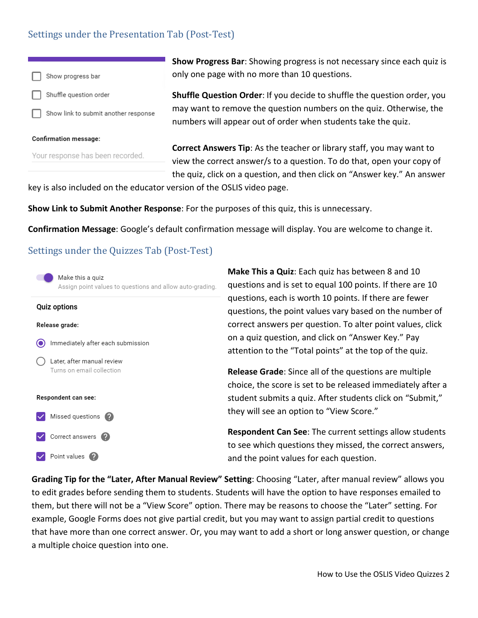#### Settings under the Presentation Tab (Post-Test)



**Show Progress Bar**: Showing progress is not necessary since each quiz is only one page with no more than 10 questions.

**Shuffle Question Order**: If you decide to shuffle the question order, you may want to remove the question numbers on the quiz. Otherwise, the numbers will appear out of order when students take the quiz.

**Correct Answers Tip**: As the teacher or library staff, you may want to view the correct answer/s to a question. To do that, open your copy of the quiz, click on a question, and then click on "Answer key." An answer

key is also included on the educator version of the OSLIS video page.

**Show Link to Submit Another Response**: For the purposes of this quiz, this is unnecessary.

**Confirmation Message**: Google's default confirmation message will display. You are welcome to change it.

#### Settings under the Quizzes Tab (Post-Test)

| Make this a quiz<br>Assign point values to questions and allow auto-grading. |   |
|------------------------------------------------------------------------------|---|
| <b>Quiz options</b>                                                          |   |
| Release grade:                                                               |   |
| Immediately after each submission                                            |   |
| Later, after manual review<br>Turns on email collection                      | ć |
| Respondent can see:                                                          |   |
| Missed questions                                                             |   |
| Correct answers                                                              |   |
| Point values                                                                 | Ć |

**Make This a Quiz**: Each quiz has between 8 and 10 questions and is set to equal 100 points. If there are 10 questions, each is worth 10 points. If there are fewer questions, the point values vary based on the number of correct answers per question. To alter point values, click on a quiz question, and click on "Answer Key." Pay attention to the "Total points" at the top of the quiz.

**Release Grade**: Since all of the questions are multiple choice, the score is set to be released immediately after a student submits a quiz. After students click on "Submit," they will see an option to "View Score."

**Respondent Can See**: The current settings allow students to see which questions they missed, the correct answers, and the point values for each question.

**Grading Tip for the "Later, After Manual Review" Setting**: Choosing "Later, after manual review" allows you to edit grades before sending them to students. Students will have the option to have responses emailed to them, but there will not be a "View Score" option. There may be reasons to choose the "Later" setting. For example, Google Forms does not give partial credit, but you may want to assign partial credit to questions that have more than one correct answer. Or, you may want to add a short or long answer question, or change a multiple choice question into one.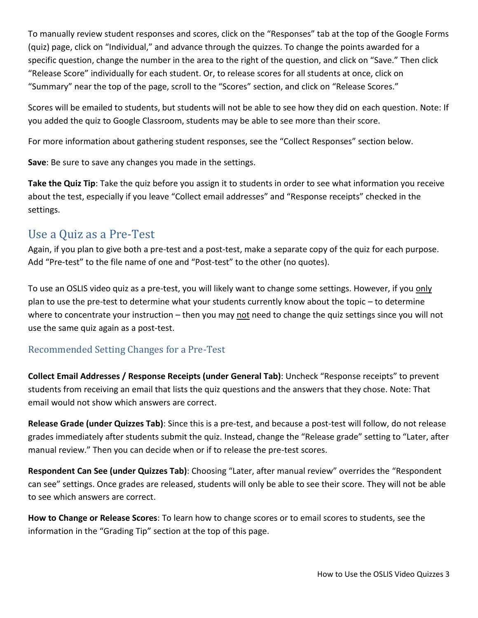To manually review student responses and scores, click on the "Responses" tab at the top of the Google Forms (quiz) page, click on "Individual," and advance through the quizzes. To change the points awarded for a specific question, change the number in the area to the right of the question, and click on "Save." Then click "Release Score" individually for each student. Or, to release scores for all students at once, click on "Summary" near the top of the page, scroll to the "Scores" section, and click on "Release Scores."

Scores will be emailed to students, but students will not be able to see how they did on each question. Note: If you added the quiz to Google Classroom, students may be able to see more than their score.

For more information about gathering student responses, see the "Collect Responses" section below.

**Save**: Be sure to save any changes you made in the settings.

**Take the Quiz Tip**: Take the quiz before you assign it to students in order to see what information you receive about the test, especially if you leave "Collect email addresses" and "Response receipts" checked in the settings.

## Use a Quiz as a Pre-Test

Again, if you plan to give both a pre-test and a post-test, make a separate copy of the quiz for each purpose. Add "Pre-test" to the file name of one and "Post-test" to the other (no quotes).

To use an OSLIS video quiz as a pre-test, you will likely want to change some settings. However, if you only plan to use the pre-test to determine what your students currently know about the topic – to determine where to concentrate your instruction – then you may not need to change the quiz settings since you will not use the same quiz again as a post-test.

## Recommended Setting Changes for a Pre-Test

**Collect Email Addresses / Response Receipts (under General Tab)**: Uncheck "Response receipts" to prevent students from receiving an email that lists the quiz questions and the answers that they chose. Note: That email would not show which answers are correct.

**Release Grade (under Quizzes Tab)**: Since this is a pre-test, and because a post-test will follow, do not release grades immediately after students submit the quiz. Instead, change the "Release grade" setting to "Later, after manual review." Then you can decide when or if to release the pre-test scores.

**Respondent Can See (under Quizzes Tab)**: Choosing "Later, after manual review" overrides the "Respondent can see" settings. Once grades are released, students will only be able to see their score. They will not be able to see which answers are correct.

**How to Change or Release Scores**: To learn how to change scores or to email scores to students, see the information in the "Grading Tip" section at the top of this page.